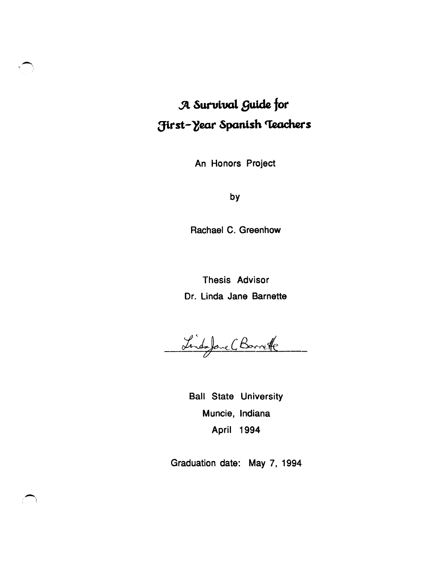# **.Jl Sut'Ui.val Buide for First-Year Spanish Teachers**

An Honors Project

by

Rachael C. Greenhow

Thesis Advisor Dr. Linda Jane Barnette

Linds Jave (Barrette

Ball State University Muncie, Indiana April 1994

Graduation date: May 7, 1994

 $\overline{\phantom{0}}$  $\mathcal{L} \rightarrow$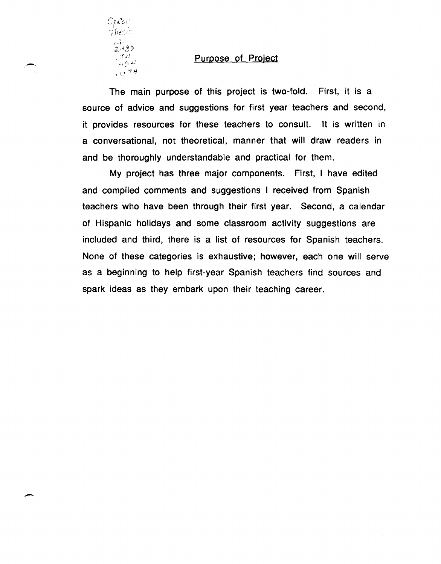

,-

-

#### Purpose of Project

The main purpose of this project is two-fold. First, it is a source of advice and suggestions for first year teachers and second, it provides resources for these teachers to consult. It is written in a conversational, not theoretical, manner that will draw readers in and be thoroughly understandable and practical for them.

My project has three major components. First, I have edited and compiled comments and suggestions I received from Spanish teachers who have been through their first year. Second, a calendar of Hispanic holidays and some classroom activity suggestions are included and third, there is a list of resources for Spanish teachers. None of these categories is exhaustive; however, each one will serve as a beginning to help first-year Spanish teachers find sources and spark ideas as they embark upon their teaching career.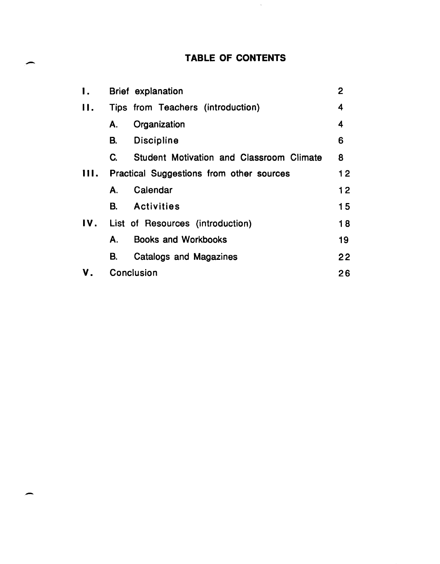# TABLE OF CONTENTS

 $\mathcal{A}$ 

 $\overline{\phantom{0}}$ 

-

| Ι.  | $\overline{2}$<br><b>Brief</b> explanation            |    |  |
|-----|-------------------------------------------------------|----|--|
| 11. | Tips from Teachers (introduction)                     | 4  |  |
|     | Organization<br>А.                                    | 4  |  |
|     | <b>Discipline</b><br>В.                               | 6  |  |
|     | <b>Student Motivation and Classroom Climate</b><br>C. | 8  |  |
| Ш.  | Practical Suggestions from other sources              |    |  |
|     | Calendar<br>А.                                        | 12 |  |
|     | В.<br><b>Activities</b>                               | 15 |  |
| IV. | List of Resources (introduction)                      | 18 |  |
|     | <b>Books and Workbooks</b><br>А.                      | 19 |  |
|     | В.<br>Catalogs and Magazines                          | 22 |  |
|     | Conclusion                                            |    |  |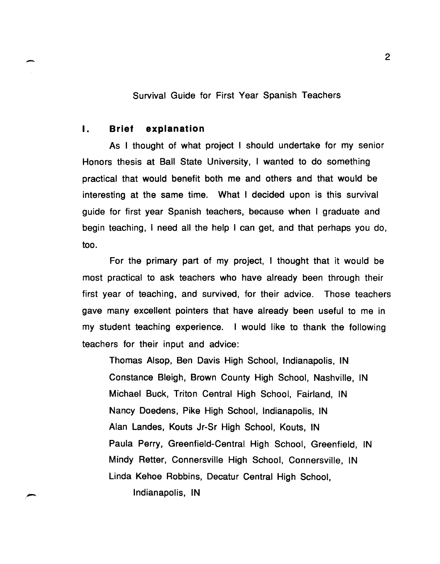Survival Guide for First Year Spanish Teachers

### I. Brief explanation

-

.-

As I thought of what project I should undertake for my senior Honors thesis at Ball State University, I wanted to do something practical that would benefit both me and others and that would be interesting at the same time. What I decided upon is this survival guide for first year Spanish teachers, because when I graduate and begin teaching, I need all the help I can get, and that perhaps you do, too.

For the primary part of my project, I thought that it would be most practical to ask teachers who have already been through their first year of teaching, and survived, for their advice. Those teachers gave many excellent pointers that have already been useful to me in my student teaching experience. I would like to thank the following teachers for their input and advice:

Thomas Alsop, Ben Davis High School, Indianapolis, IN Constance Bleigh, Brown County High School, Nashville, IN Michael Buck, Triton Central High School, Fairland, IN Nancy Doedens, Pike High School, Indianapolis, IN Alan Landes, Kouts Jr-Sr High School, Kouts, IN Paula Perry, Greenfield-Central High School, Greenfield, IN Mindy Retter, Connersville High School, Connersville, IN Linda Kehoe Robbins, Decatur Central High School, Indianapolis, IN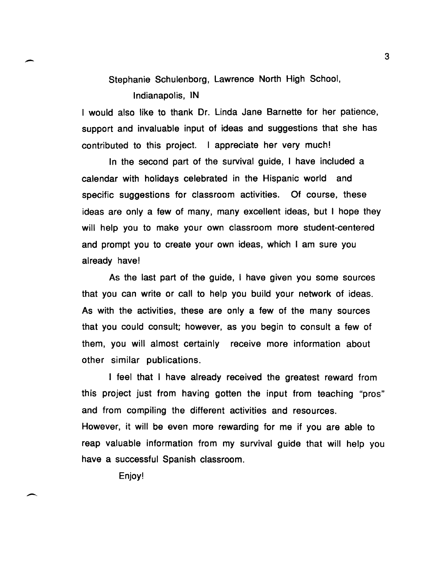Stephanie Schulenborg, Lawrence North High School,

Indianapolis, IN

I would also like to thank Dr. Linda Jane Barnette for her patience, support and invaluable input of ideas and suggestions that she has contributed to this project. I appreciate her very much!

In the second part of the survival guide, I have included a calendar with holidays celebrated in the Hispanic world and specific suggestions for classroom activities. Of course, these ideas are only a few of many, many excellent ideas, but I hope they will help you to make your own classroom more student-centered and prompt you to create your own ideas, which I am sure you already have!

As the last part of the guide, I have given you some sources that you can write or call to help you build your network of ideas. As with the activities, these are only a few of the many sources that you could consult; however, as you begin to consult a few of them, you will almost certainly receive more information about other similar publications.

I feel that I have already received the greatest reward from this project just from having gotten the input from teaching "pros" and from compiling the different activities and resources. However, it will be even more rewarding for me if you are able to reap valuable information from my survival guide that will help you have a successful Spanish classroom.

Enjoy!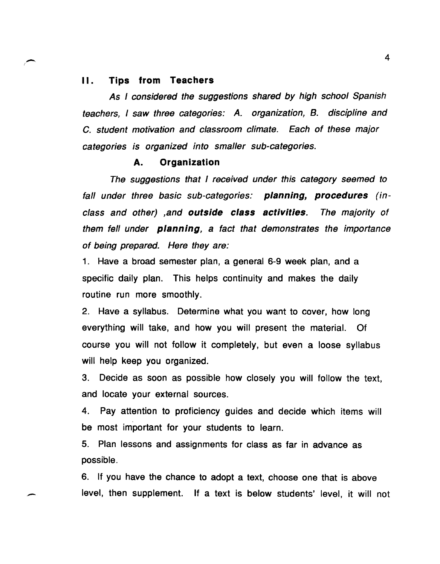#### II. Tips from Teachers

(-

-

As I considered the suggestions shared by high school Spanish teachers, I saw three categories: A. organization, B. discipline and c. student motivation and classroom climate. Each of these major categories is organized into smaller sub-categories.

#### A. Organization

The suggestions that I received under this category seemed to fall under three basic sub-categories: **planning, procedures** (inclass and other) ,and outside class activities. The majority of them fell under planning, a fact that demonstrates the importance of being prepared. Here they are:

1. Have a broad semester plan, a general 6-9 week plan, and a specific daily plan. This helps continuity and makes the daily routine run more smoothly.

2. Have a syllabus. Determine what you want to cover, how long everything will take, and how you will present the material. Of course you will not follow it completely, but even a loose syllabus will help keep you organized.

3. Decide as soon as possible how closely you will follow the text, and locate your external sources.

4. Pay attention to proficiency guides and decide which items will be most important for your students to learn.

5. Plan lessons and assignments for class as far in advance as possible.

6. If you have the chance to adopt a text, choose one that is above level, then supplement. If a text is below students' level, it will not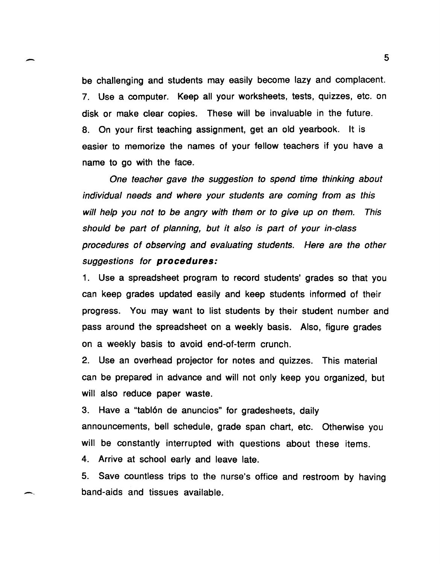be challenging and students may easily become lazy and complacent. 7. Use a computer. Keep all your worksheets, tests, quizzes, etc. on disk or make clear copies. These will be invaluable in the future. S. On your first teaching assignment, get an old yearbook. It is easier to memorize the names of your fellow teachers if you have a name to go with the face.

-

--

One teacher gave the suggestion to spend time thinking about individual needs and where your students are coming from as this will help you not to be angry with them or to give up on them. This should be part of planning, but it also is part of your in-class procedures of observing and evaluating students. Here are the other suggestions for **procedures:** 

1. Use a spreadsheet program to record students' grades so that you can keep grades updated easily and keep students informed of their progress. You may want to list students by their student number and pass around the spreadsheet on a weekly basis. Also, figure grades on a weekly basis to avoid end-of-term crunch.

2. Use an overhead projector for notes and quizzes. This material can be prepared in advance and will not only keep you organized, but will also reduce paper waste.

3. Have a "tablón de anuncios" for gradesheets, daily announcements, bell schedule, grade span chart, etc. Otherwise you will be constantly interrupted with questions about these items. 4. Arrive at school early and leave late.

S. Save countless trips to the nurse's office and restroom by having band-aids and tissues available.

s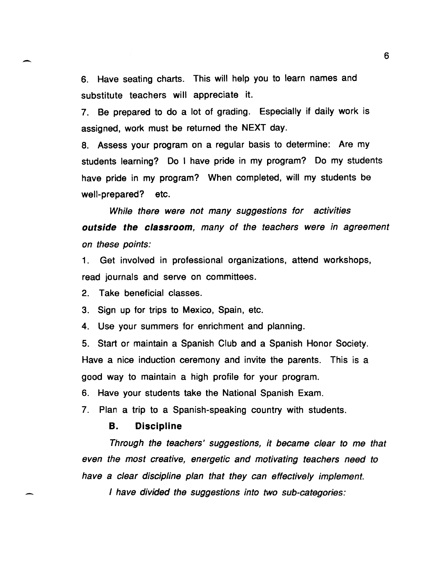6. Have seating charts. This will help you to learn names and substitute teachers will appreciate it.

7. Be prepared to do a lot of grading. Especially if daily work is assigned, work must be returned the NEXT day.

8. Assess your program on a regular basis to determine: Are my students learning? Do I have pride in my program? Do my students have pride in my program? When completed, will my students be well-prepared? etc.

While there were not many suggestions for activities outside the classroom, many of the teachers were in agreement on these points:

1. Get involved in professional organizations, attend workshops, read journals and serve on committees.

2. Take beneficial classes.

-

3. Sign up for trips to Mexico, Spain, etc.

4. Use your summers for enrichment and planning.

5. Start or maintain a Spanish Club and a Spanish Honor Society. Have a nice induction ceremony and invite the parents. This is a good way to maintain a high profile for your program.

6. Have your students take the National Spanish Exam.

7. Plan a trip to a Spanish-speaking country with students.

# B. Discipline

Through the teachers' suggestions, it became clear to me that even the most creative, energetic and motivating teachers need to have a clear discipline plan that they can effectively implement.

I have divided the suggestions into two sub-categories: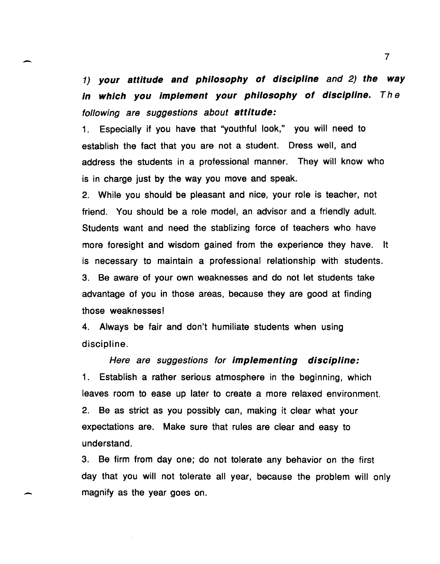1) **your attitude and philosophy of discipline** and 2) **the way in which you implement your philosophy of discipline. The**  following are suggestions about **attitude:** 

 $\overline{\phantom{0}}$ 

-

1. Especially if you have that "youthful look," you will need to establish the fact that you are not a student. Dress well, and address the students in a professional manner. They will know who is in charge just by the way you move and speak.

2. While you should be pleasant and nice, your role is teacher, not friend. You should be a role model, an advisor and a friendly adult. Students want and need the stablizing force of teachers who have more foresight and wisdom gained from the experience they have. It is necessary to maintain a professional relationship with students. 3. Be aware of your own weaknesses and do not let students take advantage of you in those areas, because they are good at finding those weaknesses!

4. Always be fair and don't humiliate students when using discipline.

Here are suggestions for **implementing discipline:**  1. Establish a rather serious atmosphere in the beginning, which leaves room to ease up later to create a more relaxed environment. 2. Be as strict as you possibly can, making it clear what your expectations are. Make sure that rules are clear and easy to understand.

3. Be firm from day one; do not tolerate any behavior on the first day that you will not tolerate all year, because the problem will only magnify as the year goes on.

7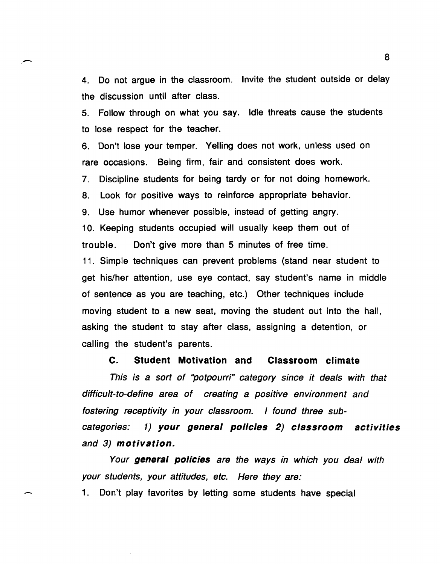4. Do not argue in the classroom. Invite the student outside or delay the discussion until after class.

5. Follow through on what you say. Idle threats cause the students to lose respect for the teacher.

6. Don't lose your temper. Yelling does not work, unless used on rare occasions. Being firm, fair and consistent does work.

7. Discipline students for being tardy or for not doing homework.

8. Look for positive ways to reinforce appropriate behavior.

9. Use humor whenever possible, instead of getting angry.

10. Keeping students occupied will usually keep them out of trouble. Don't give more than 5 minutes of free time.

11. Simple techniques can prevent problems (stand near student to get his/her attention, use eye contact, say student's name in middle of sentence as you are teaching, etc.) Other techniques include moving student to a new seat, moving the student out into the hall, asking the student to stay after class, assigning a detention, or calling the student's parents.

**C. Student Motivation and Classroom climate** 

This is a sort of "potpourri" category since it deals with that difficult-to-define area of creating a positive environment and fostering receptivity in your classroom. I found three subcategories: 1) **your general pOlicies 2) classroom activities**  and 3) **motivation.** 

Your **general policies** are the ways in which you deal with your students, your attitudes, etc. Here they are:

1. Don't play favorites by letting some students have special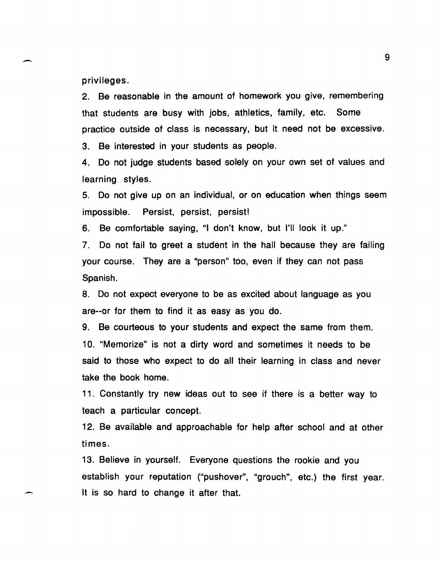privileges.

-

-

2. Be reasonable in the amount of homework you give, remembering that students are busy with jobs, athletics, family, etc. Some practice outside of class is necessary, but it need not be excessive.

3. Be interested in your students as people.

4. Do not judge students based solely on your own set of values and learning styles.

5. Do not give up on an individual, or on education when things seem impossible. Persist, persist, persist!

6. Be comfortable saying, "I don't know, but I'll look it up."

7. Do not fail to greet a student in the hall because they are failing your course. They are a "person" too, even if they can not pass Spanish.

8. Do not expect everyone to be as excited about language as you are--or for them to find it as easy as you do.

9. Be courteous to your students and expect the same from them. 10. "Memorize" is not a dirty word and sometimes it needs to be said to those who expect to do all their learning in class and never take the book home.

11. Constantly try new ideas out to see if there is a better way to teach a particular concept.

12. Be available and approachable for help after school and at other times.

13. Believe in yourself. Everyone questions the rookie and you establish your reputation ("pushover", "grouch", etc.) the first year. It is so hard to change it after that.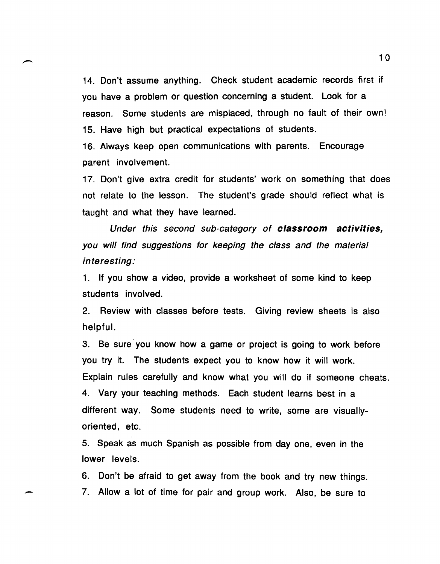14. Don't assume anything. Check student academic records first if you have a problem or question concerning a student. Look for a reason. Some students are misplaced, through no fault of their own! 15. Have high but practical expectations of students.

16. Always keep open communications with parents. Encourage parent involvement.

17. Don't give extra credit for students' work on something that does not relate to the lesson. The student's grade should reflect what is taught and what they have learned.

Under this second sub-category of classroom activities, you will find suggestions for keeping the class and the material interesting:

1. If you show a video, provide a worksheet of some kind to keep students involved.

2. Review with classes before tests. Giving review sheets is also helpful.

3. Be sure you know how a game or project is going to work before you try it. The students expect you to know how it will work. Explain rules carefully and know what you will do if someone cheats. 4. Vary your teaching methods. Each student learns best in a different way. Some students need to write, some are visuallyoriented, etc.

5. Speak as much Spanish as possible from day one, even in the lower levels.

6. Don't be afraid to get away from the book and try new things. 7. Allow a lot of time for pair and group work. Also, be sure to

-

10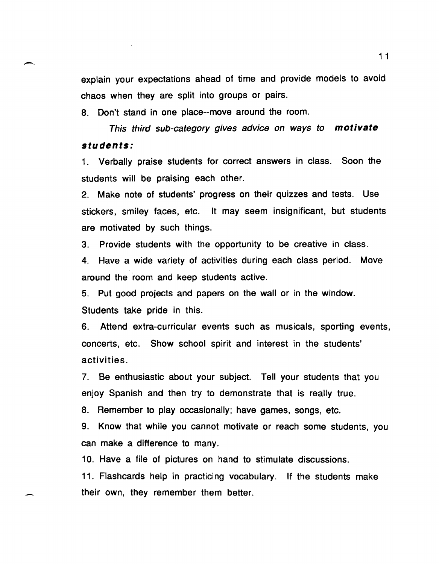explain your expectations ahead of time and provide models to avoid chaos when they are split into groups or pairs.

8. Don't stand in one place--move around the room.

This third sub-category gives advice on ways to **motivate students:** 

1. Verbally praise students for correct answers in class. Soon the students will be praising each other.

2. Make note of students' progress on their quizzes and tests. Use stickers, smiley faces, etc. It may seem insignificant, but students are motivated by such things.

3. Provide students with the opportunity to be creative in class.

4. Have a wide variety of activities during each class period. Move around the room and keep students active.

5. Put good projects and papers on the wall or in the window. Students take pride in this.

6. Attend extra-curricular events such as musicals, sporting events, concerts, etc. Show school spirit and interest in the students' activities.

7. Be enthusiastic about your subject. Tell your students that you enjoy Spanish and then try to demonstrate that is really true.

8. Remember to play occasionally; have games, songs, etc.

9. Know that while you cannot motivate or reach some students, you can make a difference to many.

10. Have a file of pictures on hand to stimulate discussions.

11. Flashcards help in practicing vocabulary. If the students make their own, they remember them better.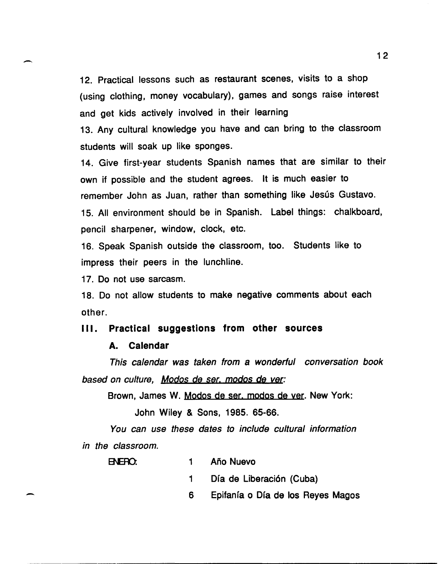12. Practical lessons such as restaurant scenes, visits to a shop (using clothing, money vocabulary), games and songs raise interest and get kids actively involved in their learning

13. Any cultural knowledge you have and can bring to the classroom students will soak up like sponges.

14. Give first-year students Spanish names that are similar to their own if possible and the student agrees. It is much easier to remember John as Juan, rather than something like Jesús Gustavo. 15. All environment should be in Spanish. Label things: chalkboard, pencil sharpener, window, clock, etc.

16. Speak Spanish outside the classroom, too. Students like to impress their peers in the lunchline.

17. Do not use sarcasm.

--

-

18. Do not allow students to make negative comments about each other.

#### III. Practical suggestions from other sources

#### A. Calendar

This calendar was taken from a wonderful conversation book based on culture. Modos de ser, modos de ver:

Brown, James W. Modos de ser. modos de yer. New York:

John Wiley & Sons, 1985. 65-66.

You can use these dates to include cultural information in the classroom.

| ENERO: |  | Año Nuevo |
|--------|--|-----------|
|        |  |           |

1 Día de Liberación (Cuba)

6 Epifanía o Día de los Reyes Magos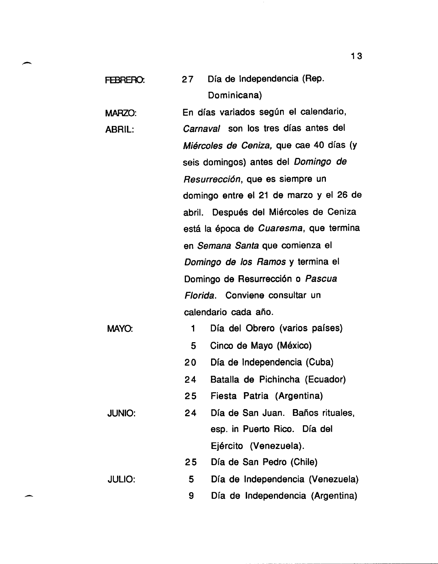| FEBRERO:      | Día de Independencia (Rep.<br>27        |
|---------------|-----------------------------------------|
|               | Dominicana)                             |
| <b>MARZO:</b> | En días variados según el calendario,   |
| <b>ABRIL:</b> | Carnaval son los tres días antes del    |
|               | Miércoles de Ceniza, que cae 40 días (y |
|               | seis domingos) antes del Domingo de     |
|               | Resurrección, que es siempre un         |
|               | domingo entre el 21 de marzo y el 26 de |
|               | abril. Después del Miércoles de Ceniza  |
|               | está la época de Cuaresma, que termina  |
|               | en Semana Santa que comienza el         |
|               | Domingo de los Ramos y termina el       |
|               | Domingo de Resurrección o Pascua        |
|               | Florida. Conviene consultar un          |
|               | calendario cada año.                    |
| MAYO:         | Día del Obrero (varios países)<br>1     |
|               | 5<br>Cinco de Mayo (México)             |
|               | Día de Independencia (Cuba)<br>20       |
|               | Batalla de Pichincha (Ecuador)<br>24    |
|               | Fiesta Patria (Argentina)<br>25         |
| <b>JUNIO:</b> | 24<br>Día de San Juan. Baños rituales,  |
|               | esp. in Puerto Rico. Día del            |
|               | Ejército (Venezuela).                   |
|               | Día de San Pedro (Chile)<br>25          |
| <b>JULIO:</b> | Día de Independencia (Venezuela)<br>5   |
|               | Día de Independencia (Argentina)<br>9   |

13

-

-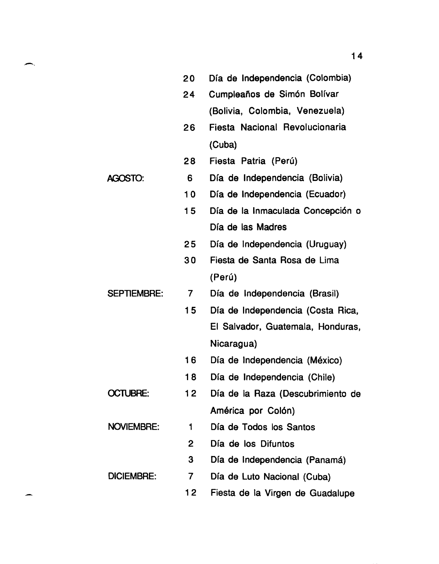|                    | 20             | Día de Independencia (Colombia)   |
|--------------------|----------------|-----------------------------------|
|                    | 24             | Cumpleaños de Simón Bolívar       |
|                    |                | (Bolivia, Colombia, Venezuela)    |
|                    | 26             | Fiesta Nacional Revolucionaria    |
|                    |                | (Cuba)                            |
|                    | 28             | Fiesta Patria (Perú)              |
| <b>AGOSTO:</b>     | 6              | Día de Independencia (Bolivia)    |
|                    | 10             | Día de Independencia (Ecuador)    |
|                    | 15             | Día de la Inmaculada Concepción o |
|                    |                | Día de las Madres                 |
|                    | 25             | Día de Independencia (Uruguay)    |
|                    | 30             | Fiesta de Santa Rosa de Lima      |
|                    |                | (Perú)                            |
| <b>SEPTIEMBRE:</b> | $\overline{7}$ | Día de Independencia (Brasil)     |
|                    | 15             | Día de Independencia (Costa Rica, |
|                    |                | El Salvador, Guatemala, Honduras, |
|                    |                | Nicaragua)                        |
|                    | 16             | Día de Independencia (México)     |
|                    | 18             | Día de Independencia (Chile)      |
| <b>OCTUBRE:</b>    | 12             | Día de la Raza (Descubrimiento de |
|                    |                | América por Colón)                |
| <b>NOVIEMBRE:</b>  | 1              | Día de Todos los Santos           |
|                    | 2              | Día de los Difuntos               |
|                    | 3              | Día de Independencia (Panamá)     |
| <b>DICIEMBRE:</b>  | $\overline{7}$ | Día de Luto Nacional (Cuba)       |
|                    | 12             | Fiesta de la Virgen de Guadalupe  |

للمعر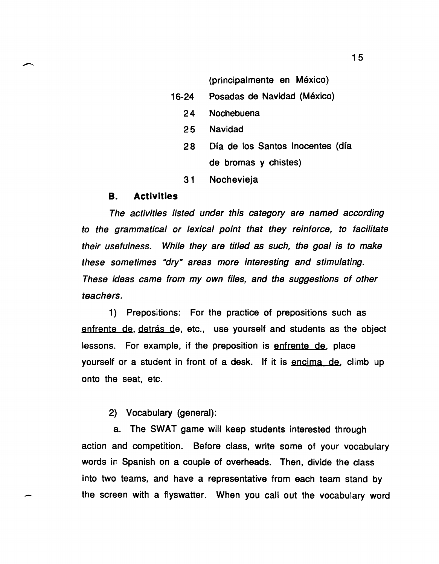(principalmente en México)

- 16-24 Posadas de Navidad (Mexico)
	- 24 Nochebuena
	- 25 Navidad
	- 28 Ofa de los Santos Inocentes (dfa de bromas y chistes)
	- 31 Nochevieja

#### B. Activities

The activities listed under this category are named according to the grammatical or lexical point that they reinforce, to facilitate their usefulness. While they are titled as such, the goal is to make these sometimes "dry" areas more interesting and stimulating. These ideas came from my own files, and the suggestions of other teachers.

1) Prepositions: For the practice of prepositions such as enfrente de, detrás de, etc., use yourself and students as the object lessons. For example, if the preposition is enfrente de, place yourself or a student in front of a desk. If it is encima de, climb up onto the seat, etc.

2) Vocabulary (general):

a. The SWAT game will keep students interested through action and competition. Before class, write some of your vocabulary words in Spanish on a couple of overheads. Then, divide the class into two teams, and have a representative from each team stand by the screen with a flyswatter. When you call out the vocabulary word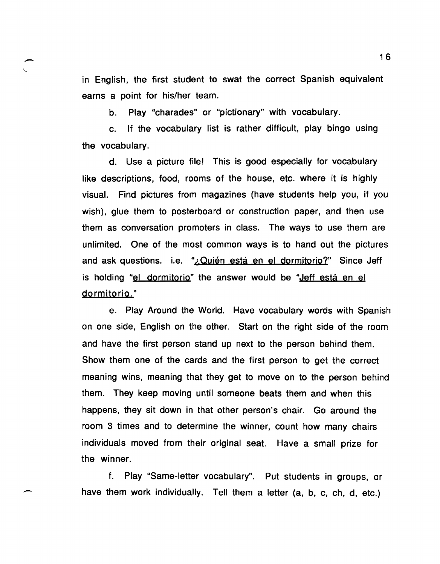in English, the first student to swat the correct Spanish equivalent earns a point for his/her team.

b. Play "charades" or "pictionary" with vocabulary.

-

-

c. If the vocabulary list is rather difficult, play bingo using the vocabulary.

d. Use a picture file! This is good especially for vocabulary like descriptions, food, rooms of the house, etc. where it is highly visual. Find pictures from magazines (have students help you, if you wish), glue them to posterboard or construction paper, and then use them as conversation promoters in class. The ways to use them are unlimited. One of the most common ways is to hand out the pictures and ask questions. i.e. "¿Quién está en el dormitorio?" Since Jeff is holding "el dormitorio" the answer would be "Jeff está en el dormitorio."

e. Play Around the World. Have vocabulary words with Spanish on one side, English on the other. Start on the right side of the room and have the first person stand up next to the person behind them. Show them one of the cards and the first person to get the correct meaning wins, meaning that they get to move on to the person behind them. They keep moving until someone beats them and when this happens, they sit down in that other person's chair. Go around the room 3 times and to determine the winner, count how many chairs individuals moved from their original seat. Have a small prize for the winner.

f. Play "Same-letter vocabulary". Put students in groups, or have them work individually. Tell them a letter (a, b, c, ch, d, etc.)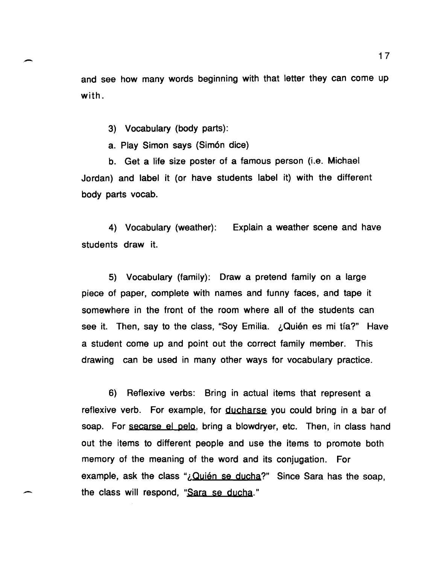and see how many words beginning with that letter they can come up with.

3) Vocabulary (body parts):

-

 $\overline{\phantom{a}}$ 

a. Play Simon says (Sim6n dice)

b. Get a life size poster of a famous person (i.e. Michael Jordan) and label it (or have students label it) with the different body parts vocab.

4) Vocabulary (weather): Explain a weather scene and have students draw it.

5) Vocabulary (family): Draw a pretend family on a large piece of paper, complete with names and funny faces, and tape it somewhere in the front of the room where all of the students can see it. Then, say to the class, "Soy Emilia.  $\Delta$ Quién es mi tía?" Have a student come up and point out the correct family member. This drawing can be used in many other ways for vocabulary practice.

6) Reflexive verbs: Bring in actual items that represent a reflexive verb. For example, for ducharse you could bring in a bar of soap. For secarse el pelo, bring a blowdryer, etc. Then, in class hand out the items to different people and use the items to promote both memory of the meaning of the word and its conjugation. For example, ask the class " $i$ , Quién se ducha?" Since Sara has the soap, the class will respond, "Sara se ducha."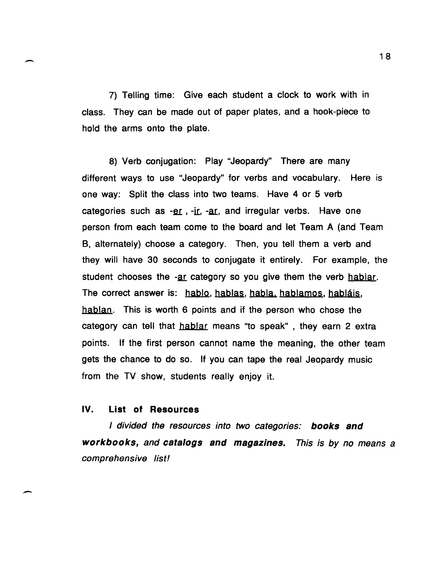7) Telling time: Give each student a clock to work with in class. They can be made out of paper plates, and a hook-piece to hold the arms onto the plate.

8) Verb conjugation: Play "Jeopardy" There are many different ways to use "Jeopardy" for verbs and vocabulary. Here is one way: Split the class into two teams. Have 4 or 5 verb categories such as  $-er$ ,  $-ir$ ,  $-ar$ , and irregular verbs. Have one person from each team come to the board and let Team A (and Team B, alternately) choose a category. Then, you tell them a verb and they will have 30 seconds to conjugate it entirely. For example, the student chooses the -ar category so you give them the verb hablar. The correct answer is: hablo, hablas, habla, hablamos, habláis, hablan. This is worth 6 points and if the person who chose the category can tell that hablar means "to speak" , they earn 2 extra points. If the first person cannot name the meaning, the other team gets the chance to do so. If you can tape the real Jeopardy music from the TV show, students really enjoy it.

#### **IV. List of Resources**

-

-

I divided the resources into two categories: **books and workbooks,** and **catalogs and magazines.** This is by no means a comprehensive list!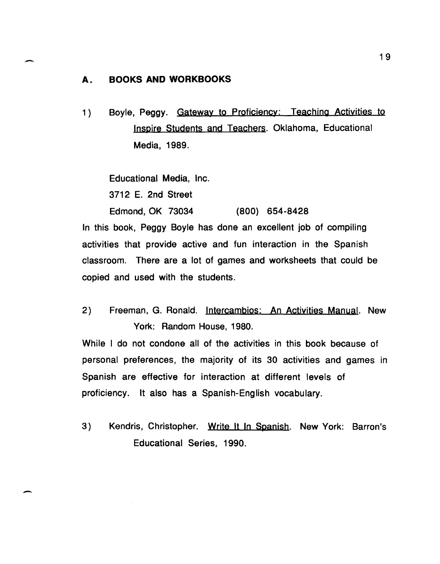#### A. **BOOKS AND WORKBOOKS**

-

-

1) Boyle, Peggy. Gateway to Proficiency: Teaching Activities to Inspire Students and Teachers. Oklahoma, Educational Media, 1989.

Educational Media, Inc.

3712 E. 2nd Street

Edmond, OK 73034 (800) 654-8428 In this book, Peggy Boyle has done an excellent job of compiling activities that provide active and fun interaction in the Spanish classroom. There are a lot of games and worksheets that could be copied and used with the students.

2) Freeman, G. Ronald. Intercambios: An Activities Manual. New York: Random House, 1980.

While I do not condone all of the activities in this book because of personal preferences, the majority of its 30 activities and games in Spanish are effective for interaction at different levels of proficiency. It also has a Spanish-English vocabulary.

3) Kendris, Christopher. Write It In Spanish. New York: Barron's Educational Series, 1990.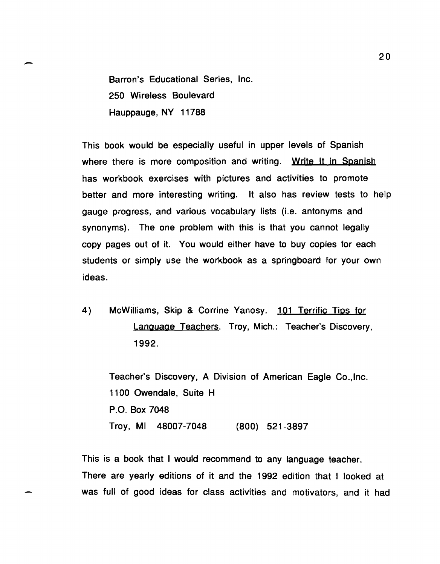Barron's Educational Series, Inc. 250 Wireless Boulevard Hauppauge, NY 11788

This book would be especially useful in upper levels of Spanish where there is more composition and writing. Write It in Spanish has workbook exercises with pictures and activities to promote better and more interesting writing. It also has review tests to help gauge progress, and various vocabulary lists (i.e. antonyms and synonyms). The one problem with this is that you cannot legally copy pages out of it. You would either have to buy copies for each students or simply use the workbook as a springboard for your own ideas.

4) McWilliams, Skip & Corrine Yanosy. 101 Terrific Tips for Language Teachers. Troy, Mich.: Teacher's Discovery, 1992.

Teacher's Discovery, A Division of American Eagle CO.,lnc. 1100 Owendale, Suite H P.O. Box 7048 Troy, MI 48007-7048 (800) 521-3897

This is a book that I would recommend to any language teacher. There are yearly editions of it and the 1992 edition that I looked at was full of good ideas for class activities and motivators, and it had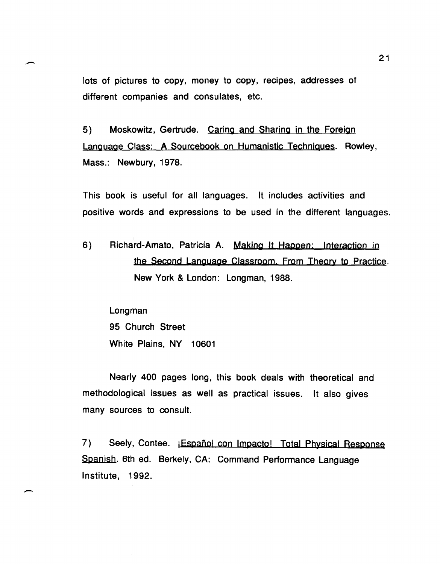lots of pictures to copy, money to copy, recipes, addresses of different companies and consulates, etc.

5) Moskowitz, Gertrude. Caring and Sharing in the Foreign Language Class: A Sourcebook on Humanistic Techniques. Rowley, Mass.: Newbury, 1978.

This book is useful for all languages. It includes activities and positive words and expressions to be used in the different languages.

6) Richard-Amato, Patricia A. Making It Happen: Interaction in the Second Language Classroom. From Theory to Practice. New York & London: Longman, 1988.

Longman 95 Church Street White Plains, NY 10601

 $\overline{\phantom{a}}$ 

Nearly 400 pages long, this book deals with theoretical and methodological issues as well as practical issues. It also gives many sources to consult.

7) Seely, Contee. **jEspañol con Impacto! Total Physical Response** Sganish. 6th ed. Berkely, CA: Command Performance Language Institute, 1992.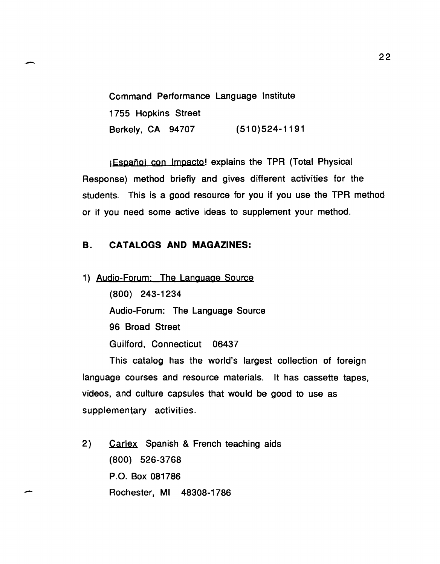Command Performance Language Institute 1755 Hopkins Street Berkely, CA 94707 (510)524-1191

*i* Español con Impacto! explains the TPR (Total Physical Response) method briefly and gives different activities for the students. This is a good resource for you if you use the TPR method or if you need some active ideas to supplement your method.

# B. CATALOGS AND MAGAZINES:

..-.

 $\overline{\phantom{a}}$ 

1) Audio-Forum: The Language Source (800) 243-1234 Audio-Forum: The Language Source 96 Broad Street Guilford, Connecticut 06437

This catalog has the world's largest collection of foreign language courses and resource materials. It has cassette tapes, videos, and culture capsules that would be good to use as supplementary activities.

2) Carlex Spanish & French teaching aids (800) 526-3768 P.O. Box 081786 Rochester, MI 48308-1786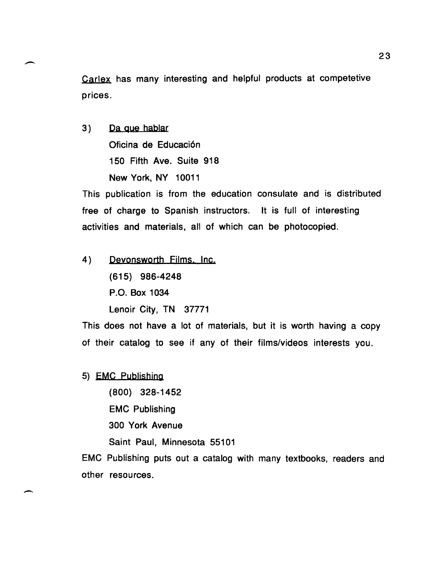Carlex has many interesting and helpful products at competetive prices.

3) Da que hablar Oficina de Educaci6n 150 Fifth Ave. Suite 918 New York, NY 10011

---

-

This publication is from the education consulate and is distributed free of charge to Spanish instructors. It is full of interesting activities and materials, all of which can be photocopied.

4) Devonsworth Films. Inc. (615) 986-4248 P.O. Box 1034 Lenoir City, TN 37771

This does not have a lot of materials, but it is worth having a copy of their catalog to see if any of their films/videos interests you.

5) EMC Publishing

(800) 328-1452 EMC Publishing 300 York Avenue Saint Paul, Minnesota 55101

EMC Publishing puts out a catalog with many textbooks, readers and other resources.

23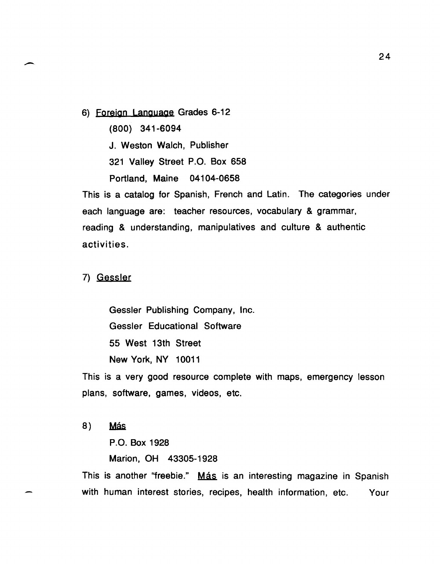6) Foreign Language Grades 6-12

(800) 341-6094

J. Weston Walch, Publisher

321 Valley Street P.O. Box 658

Portland, Maine 04104-0658

This is a catalog for Spanish, French and Latin. The categories under each language are: teacher resources, vocabulary & grammar, reading & understanding, manipulatives and culture & authentic activities.

7) Gessler

Gessler Publishing Company, Inc. Gessler Educational Software 55 West 13th Street New York, NY 10011

This is a very good resource complete with maps, emergency lesson plans, software, games, videos, etc.

8) Más

P.O. Box 1928

Marion, OH 43305-1928

This is another "freebie." Más is an interesting magazine in Spanish with human interest stories, recipes, health information, etc. Your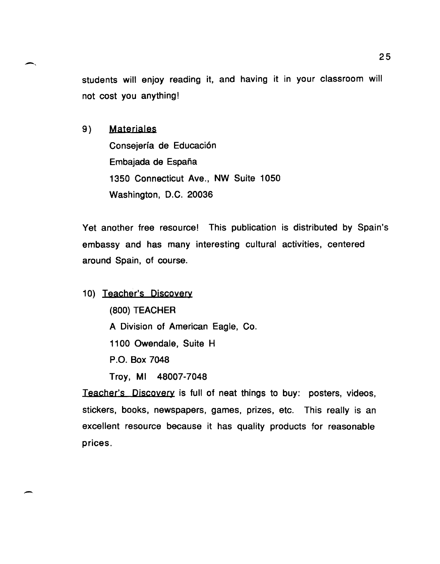students will enjoy reading it, and having it in your classroom will not cost you anything!

9) Materjales

Consejería de Educación Embajada de España 1350 Connecticut Ave., NW Suite 1050 Washington, D.C. 20036

Yet another free resource! This publication is distributed by Spain's embassy and has many interesting cultural activities, centered around Spain, of course.

10) Teacher's Discovery (800) TEACHER A Division of American Eagle, Co. 1100 Owendale, Suite H

P.O. Box 7048

-

Troy, MI 48007-7048

Teacher's Discovery is full of neat things to buy: posters, videos, stickers, books, newspapers, games, prizes, etc. This really is an excellent resource because it has quality products for reasonable prices.